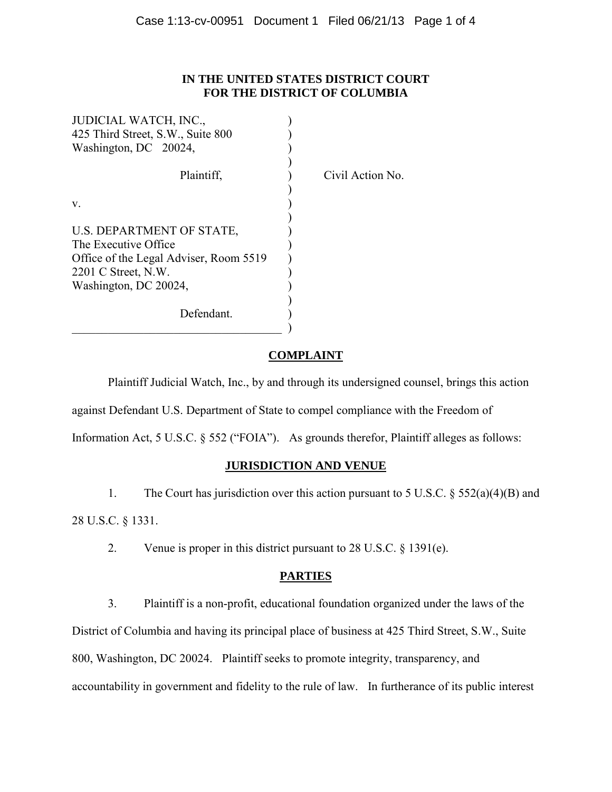# **IN THE UNITED STATES DISTRICT COURT FOR THE DISTRICT OF COLUMBIA**

| JUDICIAL WATCH, INC.,                  |                  |
|----------------------------------------|------------------|
| 425 Third Street, S.W., Suite 800      |                  |
| Washington, DC 20024,                  |                  |
| Plaintiff,                             | Civil Action No. |
| V.                                     |                  |
| U.S. DEPARTMENT OF STATE,              |                  |
| The Executive Office                   |                  |
| Office of the Legal Adviser, Room 5519 |                  |
| $2201$ C Street, N.W.                  |                  |
| Washington, DC 20024,                  |                  |
| Defendant.                             |                  |

# **COMPLAINT**

 Plaintiff Judicial Watch, Inc., by and through its undersigned counsel, brings this action against Defendant U.S. Department of State to compel compliance with the Freedom of

Information Act, 5 U.S.C. § 552 ("FOIA"). As grounds therefor, Plaintiff alleges as follows:

# **JURISDICTION AND VENUE**

 1. The Court has jurisdiction over this action pursuant to 5 U.S.C. § 552(a)(4)(B) and 28 U.S.C. § 1331.

2. Venue is proper in this district pursuant to 28 U.S.C. § 1391(e).

# **PARTIES**

 3. Plaintiff is a non-profit, educational foundation organized under the laws of the District of Columbia and having its principal place of business at 425 Third Street, S.W., Suite 800, Washington, DC 20024. Plaintiff seeks to promote integrity, transparency, and accountability in government and fidelity to the rule of law. In furtherance of its public interest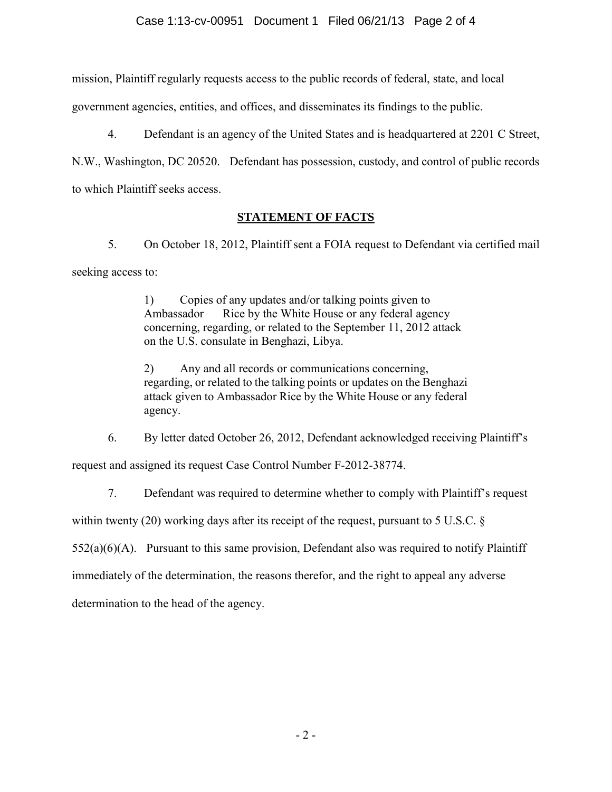### Case 1:13-cv-00951 Document 1 Filed 06/21/13 Page 2 of 4

mission, Plaintiff regularly requests access to the public records of federal, state, and local

government agencies, entities, and offices, and disseminates its findings to the public.

 4. Defendant is an agency of the United States and is headquartered at 2201 C Street, N.W., Washington, DC 20520. Defendant has possession, custody, and control of public records

to which Plaintiff seeks access.

# **STATEMENT OF FACTS**

 5. On October 18, 2012, Plaintiff sent a FOIA request to Defendant via certified mail seeking access to:

> 1) Copies of any updates and/or talking points given to Ambassador Rice by the White House or any federal agency concerning, regarding, or related to the September 11, 2012 attack on the U.S. consulate in Benghazi, Libya.

2) Any and all records or communications concerning, regarding, or related to the talking points or updates on the Benghazi attack given to Ambassador Rice by the White House or any federal agency.

6. By letter dated October 26, 2012, Defendant acknowledged receiving Plaintiff's

request and assigned its request Case Control Number F-2012-38774.

7. Defendant was required to determine whether to comply with Plaintiff's request

within twenty (20) working days after its receipt of the request, pursuant to 5 U.S.C. §

 $552(a)(6)(A)$ . Pursuant to this same provision, Defendant also was required to notify Plaintiff

immediately of the determination, the reasons therefor, and the right to appeal any adverse

determination to the head of the agency.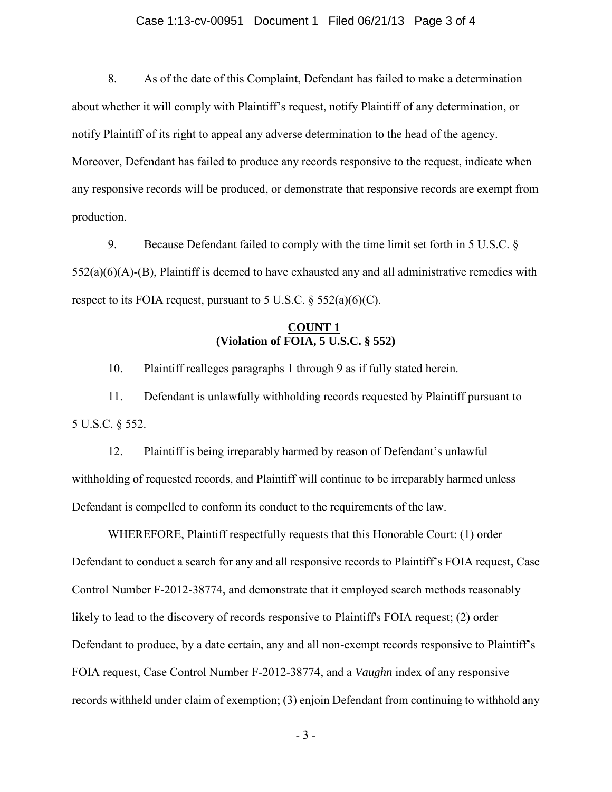#### Case 1:13-cv-00951 Document 1 Filed 06/21/13 Page 3 of 4

8. As of the date of this Complaint, Defendant has failed to make a determination about whether it will comply with Plaintiff's request, notify Plaintiff of any determination, or notify Plaintiff of its right to appeal any adverse determination to the head of the agency. Moreover, Defendant has failed to produce any records responsive to the request, indicate when any responsive records will be produced, or demonstrate that responsive records are exempt from production.

 9. Because Defendant failed to comply with the time limit set forth in 5 U.S.C. §  $552(a)(6)(A)-B$ , Plaintiff is deemed to have exhausted any and all administrative remedies with respect to its FOIA request, pursuant to 5 U.S.C.  $\S$  552(a)(6)(C).

### **COUNT 1 (Violation of FOIA, 5 U.S.C. § 552)**

10. Plaintiff realleges paragraphs 1 through 9 as if fully stated herein.

 11. Defendant is unlawfully withholding records requested by Plaintiff pursuant to 5 U.S.C. § 552.

 12. Plaintiff is being irreparably harmed by reason of Defendant's unlawful withholding of requested records, and Plaintiff will continue to be irreparably harmed unless Defendant is compelled to conform its conduct to the requirements of the law.

WHEREFORE, Plaintiff respectfully requests that this Honorable Court: (1) order Defendant to conduct a search for any and all responsive records to Plaintiff's FOIA request, Case Control Number F-2012-38774, and demonstrate that it employed search methods reasonably likely to lead to the discovery of records responsive to Plaintiff's FOIA request; (2) order Defendant to produce, by a date certain, any and all non-exempt records responsive to Plaintiff's FOIA request, Case Control Number F-2012-38774, and a *Vaughn* index of any responsive records withheld under claim of exemption; (3) enjoin Defendant from continuing to withhold any

- 3 -